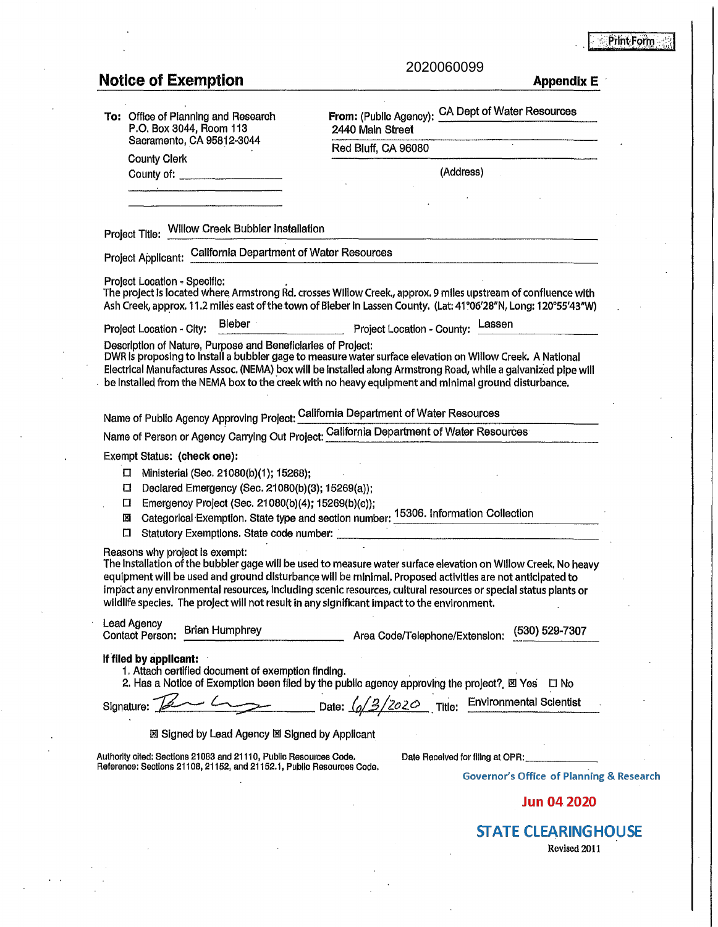**Print Form** 

|--|

## **Notice of Exemption Appendix E Appendix E**

| To: Office of Planning and Research<br>P.O. Box 3044, Room 113                                                                             | CA Dept of Water Resources<br>From: (Public Agency):<br>2440 Main Street                                                                                                                                                                                                                                                                                                                                                                     |  |
|--------------------------------------------------------------------------------------------------------------------------------------------|----------------------------------------------------------------------------------------------------------------------------------------------------------------------------------------------------------------------------------------------------------------------------------------------------------------------------------------------------------------------------------------------------------------------------------------------|--|
| Sacramento, CA 95812-3044                                                                                                                  | Red Bluff, CA 96080                                                                                                                                                                                                                                                                                                                                                                                                                          |  |
| <b>County Clerk</b><br>County of: _____________________                                                                                    | (Address)                                                                                                                                                                                                                                                                                                                                                                                                                                    |  |
|                                                                                                                                            |                                                                                                                                                                                                                                                                                                                                                                                                                                              |  |
|                                                                                                                                            |                                                                                                                                                                                                                                                                                                                                                                                                                                              |  |
| Project Title: Willow Creek Bubbler Installation                                                                                           |                                                                                                                                                                                                                                                                                                                                                                                                                                              |  |
| Project Applicant: California Department of Water Resources                                                                                |                                                                                                                                                                                                                                                                                                                                                                                                                                              |  |
| Project Location - Specific:                                                                                                               | The project is located where Armstrong Rd. crosses Willow Creek., approx. 9 miles upstream of confluence with<br>Ash Creek, approx. 11.2 miles east of the town of Bieber in Lassen County. (Lat: 41°06'28"N, Long: 120°55'43"W)                                                                                                                                                                                                             |  |
| <b>Bieber</b><br>Project Location - City:                                                                                                  | Lassen<br>Project Location - County:                                                                                                                                                                                                                                                                                                                                                                                                         |  |
| Description of Nature, Purpose and Beneficiaries of Project:                                                                               | DWR is proposing to install a bubbler gage to measure water surface elevation on Willow Creek. A National<br>Electrical Manufactures Assoc. (NEMA) box will be installed along Armstrong Road, while a galvanized pipe will<br>be Installed from the NEMA box to the creek with no heavy equipment and minimal ground disturbance.                                                                                                           |  |
|                                                                                                                                            | Name of Public Agency Approving Project: California Department of Water Resources                                                                                                                                                                                                                                                                                                                                                            |  |
|                                                                                                                                            | Name of Person or Agency Carrying Out Project: California Department of Water Resources                                                                                                                                                                                                                                                                                                                                                      |  |
| Exempt Status: (check one):                                                                                                                |                                                                                                                                                                                                                                                                                                                                                                                                                                              |  |
| Ministerial (Sec. 21080(b)(1); 15268);<br>0<br>Ο                                                                                           |                                                                                                                                                                                                                                                                                                                                                                                                                                              |  |
| Declared Emergency (Sec. 21080(b)(3); 15269(a));<br>Emergency Project (Sec. 21080(b)(4); 15269(b)(c));<br>□                                |                                                                                                                                                                                                                                                                                                                                                                                                                                              |  |
| 図                                                                                                                                          | Categorical Exemption. State type and section number: 15306. Information Collection                                                                                                                                                                                                                                                                                                                                                          |  |
| □                                                                                                                                          |                                                                                                                                                                                                                                                                                                                                                                                                                                              |  |
| Reasons why project is exempt:                                                                                                             | The Installation of the bubbler gage will be used to measure water surface elevation on Willow Creek. No heavy<br>equipment will be used and ground disturbance will be minimal. Proposed activities are not anticipated to<br>impact any environmental resources, including scenic resources, cultural resources or special status plants or<br>wildlife species. The project will not result in any significant impact to the environment. |  |
| Lead Agency<br><b>Brian Humphrey</b><br><b>Contact Person:</b>                                                                             | (530) 529-7307<br>Area Code/Telephone/Extension:                                                                                                                                                                                                                                                                                                                                                                                             |  |
| If filed by applicant:<br>1. Attach certified document of exemption finding.                                                               | 2. Has a Notice of Exemption been filed by the public agency approving the project? 図 Yes<br>□ No                                                                                                                                                                                                                                                                                                                                            |  |
|                                                                                                                                            | Signature: 2 __ C __ Date: 6/3/2020 Title: Environmental Scientist                                                                                                                                                                                                                                                                                                                                                                           |  |
|                                                                                                                                            |                                                                                                                                                                                                                                                                                                                                                                                                                                              |  |
| 図 Signed by Lead Agency 図 Signed by Applicant                                                                                              |                                                                                                                                                                                                                                                                                                                                                                                                                                              |  |
| Authority cited: Sections 21083 and 21110, Public Resources Code.<br>Reference: Sections 21108, 21152, and 21152.1, Public Resources Code. | Date Received for filing at OPR:                                                                                                                                                                                                                                                                                                                                                                                                             |  |
|                                                                                                                                            |                                                                                                                                                                                                                                                                                                                                                                                                                                              |  |
|                                                                                                                                            | <b>Governor's Office of Planning &amp; Research</b>                                                                                                                                                                                                                                                                                                                                                                                          |  |

**STATE CLEARINGHOUSE** 

Revised 2011